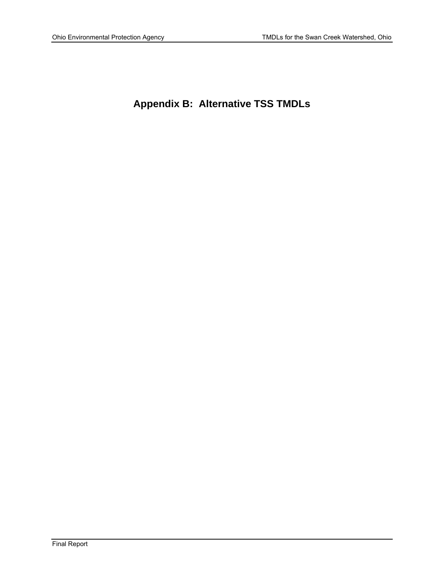# **Appendix B: Alternative TSS TMDLs**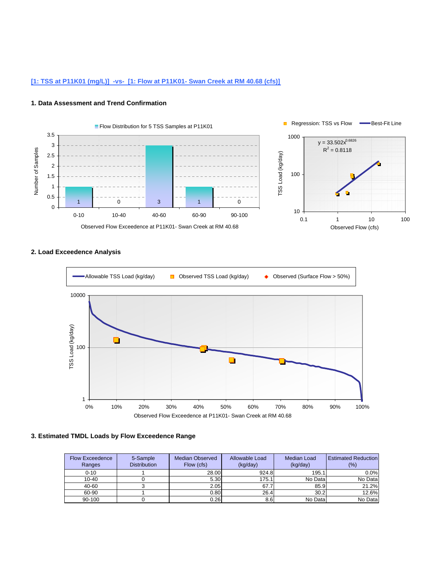# **[1: TSS at P11K01 (mg/L)] -vs- [1: Flow at P11K01- Swan Creek at RM 40.68 (cfs)]**

#### **1. Data Assessment and Trend Confirmation**



### **2. Load Exceedence Analysis**



| <b>Flow Exceedence</b><br>Ranges | 5-Sample<br><b>Distribution</b> | <b>Median Observed</b><br>Flow (cfs) | Allowable Load<br>(kg/day) | <b>Median Load</b><br>(kg/day) | <b>Estimated Reduction</b><br>(%) |
|----------------------------------|---------------------------------|--------------------------------------|----------------------------|--------------------------------|-----------------------------------|
| $0 - 10$                         |                                 | 28.00                                | 924.8                      | 195.1                          | 0.0%                              |
| $10 - 40$                        |                                 | 5.30                                 | 175.1                      | No Data                        | No Data                           |
| 40-60                            |                                 | 2.05                                 | 67.7                       | 85.9                           | 21.2%                             |
| 60-90                            |                                 | 0.80                                 | 26.4                       | 30.2                           | 12.6%                             |
| 90-100                           |                                 | 0.26                                 | 8.6                        | No Data                        | No Data                           |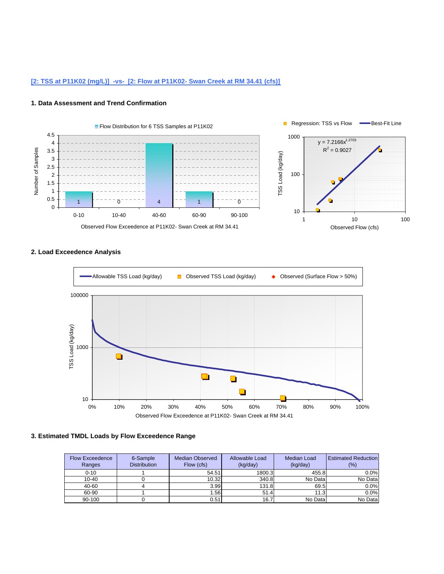# **[2: TSS at P11K02 (mg/L)] -vs- [2: Flow at P11K02- Swan Creek at RM 34.41 (cfs)]**

#### **1. Data Assessment and Trend Confirmation**



# **2. Load Exceedence Analysis**



| <b>Flow Exceedence</b><br>Ranges | 6-Sample<br><b>Distribution</b> | <b>Median Observed</b><br>Flow (cfs) | Allowable Load<br>(kg/day) | Median Load<br>(kg/day) | <b>Estimated Reduction</b><br>(%) |
|----------------------------------|---------------------------------|--------------------------------------|----------------------------|-------------------------|-----------------------------------|
| $0 - 10$                         |                                 | 54.51                                | 1800.3                     | 455.8                   | 0.0%                              |
| $10 - 40$                        |                                 | 10.32                                | 340.8                      | No Data                 | No Data                           |
| 40-60                            |                                 | 3.99                                 | 131.8                      | 69.5                    | 0.0%                              |
| 60-90                            |                                 | 1.56                                 | 51.4                       | 11.3                    | 0.0%                              |
| 90-100                           |                                 | 0.51                                 | 16.7                       | No Data                 | No Data                           |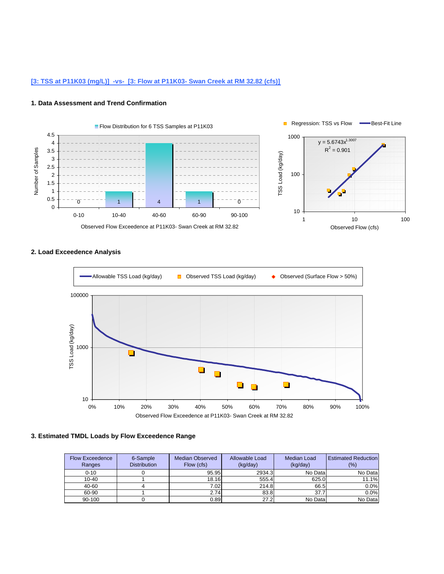# **[3: TSS at P11K03 (mg/L)] -vs- [3: Flow at P11K03- Swan Creek at RM 32.82 (cfs)]**

#### **1. Data Assessment and Trend Confirmation**



# **2. Load Exceedence Analysis**



| <b>Flow Exceedence</b><br>Ranges | 6-Sample<br><b>Distribution</b> | <b>Median Observed</b><br>Flow (cfs) | Allowable Load<br>(kg/day) | Median Load<br>(kg/day) | <b>Estimated Reduction</b><br>$(\% )$ |
|----------------------------------|---------------------------------|--------------------------------------|----------------------------|-------------------------|---------------------------------------|
| $0 - 10$                         |                                 | 95.95                                | 2934.3                     | No Data                 | No Data                               |
| $10 - 40$                        |                                 | 18.16                                | 555.4                      | 625.0                   | 11.1%                                 |
| 40-60                            |                                 | 7.02                                 | 214.8                      | 66.5                    | 0.0%                                  |
| 60-90                            |                                 | 2.74                                 | 83.8                       | 37.7                    | 0.0%                                  |
| 90-100                           |                                 | 0.89                                 | 27.2                       | No Data                 | No Data                               |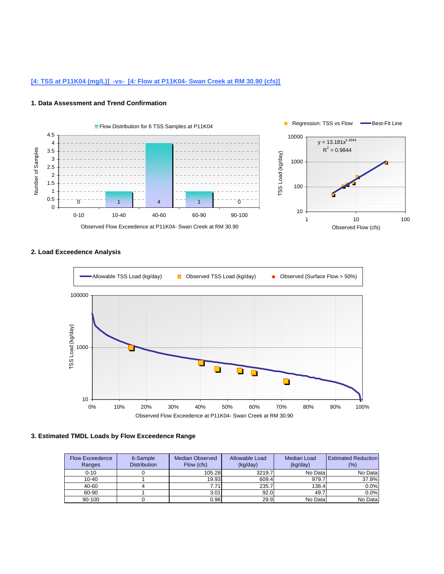# **[4: TSS at P11K04 (mg/L)] -vs- [4: Flow at P11K04- Swan Creek at RM 30.90 (cfs)]**

#### **1. Data Assessment and Trend Confirmation**



# **2. Load Exceedence Analysis**



| <b>Flow Exceedence</b><br>Ranges | 6-Sample<br><b>Distribution</b> | <b>Median Observed</b><br>Flow (cfs) | Allowable Load<br>(kg/day) | Median Load<br>(kg/day) | <b>Estimated Reduction</b><br>$(\% )$ |
|----------------------------------|---------------------------------|--------------------------------------|----------------------------|-------------------------|---------------------------------------|
| $0 - 10$                         |                                 | 105.28                               | 3219.7                     | No Data                 | No Data                               |
| $10 - 40$                        |                                 | 19.93                                | 609.4                      | 979.7                   | 37.8%                                 |
| 40-60                            |                                 | 7.71                                 | 235.7                      | 138.4                   | 0.0%                                  |
| 60-90                            |                                 | 3.01                                 | 92.0                       | 49.7                    | 0.0%                                  |
| 90-100                           |                                 | 0.98                                 | 29.9                       | No Data                 | No Data                               |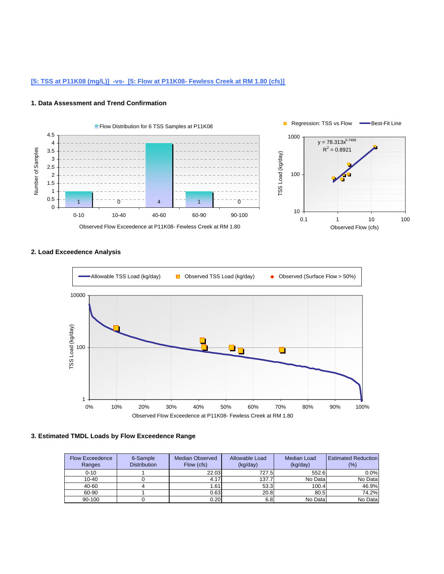# **[5: TSS at P11K08 (mg/L)] -vs- [5: Flow at P11K08- Fewless Creek at RM 1.80 (cfs)]**

#### **1. Data Assessment and Trend Confirmation**



# **2. Load Exceedence Analysis**



| <b>Flow Exceedence</b><br>Ranges | 6-Sample<br><b>Distribution</b> | <b>Median Observed</b><br>Flow (cfs) | Allowable Load<br>(kg/day) | Median Load<br>(kg/day) | <b>Estimated Reduction</b><br>$(\% )$ |
|----------------------------------|---------------------------------|--------------------------------------|----------------------------|-------------------------|---------------------------------------|
| $0 - 10$                         |                                 | 22.03                                | 727.5                      | 552.6                   | 0.0%                                  |
| $10 - 40$                        |                                 | 4.17                                 | 137.7                      | No Data                 | No Data                               |
| 40-60                            |                                 | 1.61                                 | 53.3                       | 100.4                   | 46.9%                                 |
| 60-90                            |                                 | 0.63                                 | 20.8                       | 80.5                    | 74.2%                                 |
| 90-100                           |                                 | 0.20                                 | 6.8                        | No Data                 | No Data                               |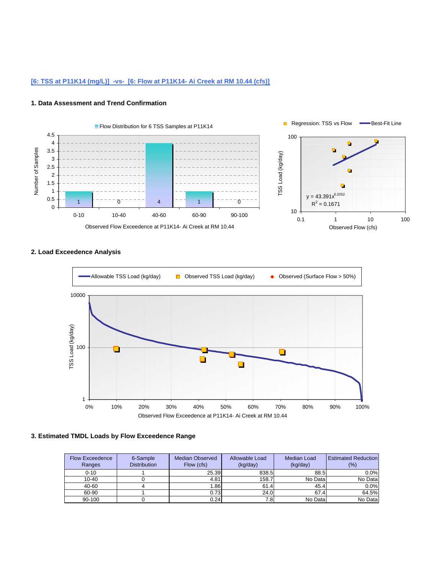# **[6: TSS at P11K14 (mg/L)] -vs- [6: Flow at P11K14- Ai Creek at RM 10.44 (cfs)]**

#### **1. Data Assessment and Trend Confirmation**



# **2. Load Exceedence Analysis**



| <b>Flow Exceedence</b><br>Ranges | 6-Sample<br><b>Distribution</b> | <b>Median Observed</b><br>Flow (cfs) | Allowable Load<br>(kg/day) | Median Load<br>(kg/day) | <b>Estimated Reduction</b><br>$(\% )$ |
|----------------------------------|---------------------------------|--------------------------------------|----------------------------|-------------------------|---------------------------------------|
| $0 - 10$                         |                                 | 25.39                                | 838.5                      | 88.5                    | 0.0%                                  |
| $10 - 40$                        |                                 | 4.81                                 | 158.7                      | No Data                 | No Data                               |
| 40-60                            |                                 | 1.86                                 | 61.4                       | 45.4                    | 0.0%                                  |
| 60-90                            |                                 | 0.73                                 | 24.0                       | 67.4                    | 64.5%                                 |
| 90-100                           |                                 | 0.24                                 | 7.8                        | No Data                 | No Data                               |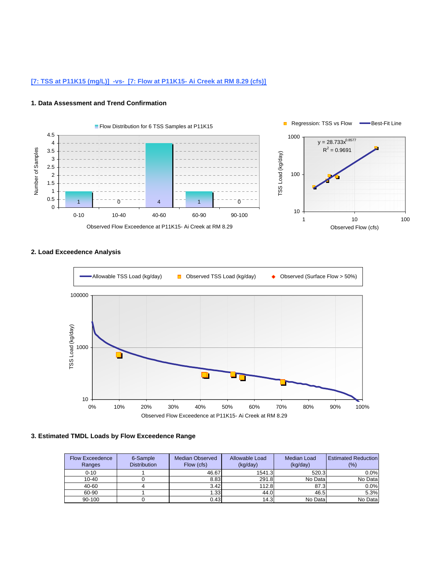# **[7: TSS at P11K15 (mg/L)] -vs- [7: Flow at P11K15- Ai Creek at RM 8.29 (cfs)]**

#### **1. Data Assessment and Trend Confirmation**



# **2. Load Exceedence Analysis**



| <b>Flow Exceedence</b><br>Ranges | 6-Sample<br><b>Distribution</b> | <b>Median Observed</b><br>Flow (cfs) | Allowable Load<br>(kg/day) | <b>Median Load</b><br>(kg/day) | <b>Estimated Reduction</b><br>$(\% )$ |
|----------------------------------|---------------------------------|--------------------------------------|----------------------------|--------------------------------|---------------------------------------|
| $0 - 10$                         |                                 | 46.67                                | 1541.3                     | 520.3                          | 0.0%                                  |
| $10 - 40$                        |                                 | 8.83                                 | 291.8                      | No Data                        | No Data                               |
| 40-60                            |                                 | 3.42                                 | 112.8                      | 87.3                           | 0.0%                                  |
| 60-90                            |                                 | 1.33                                 | 44.0                       | 46.5                           | 5.3%                                  |
| 90-100                           |                                 | 0.43                                 | 14.3                       | No Data                        | No Data                               |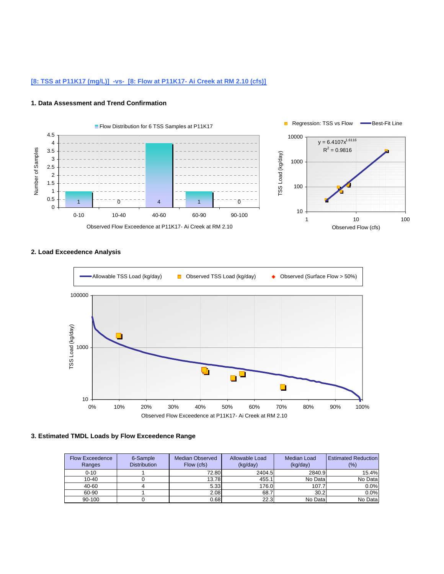# **[8: TSS at P11K17 (mg/L)] -vs- [8: Flow at P11K17- Ai Creek at RM 2.10 (cfs)]**

#### **1. Data Assessment and Trend Confirmation**



# **2. Load Exceedence Analysis**



| <b>Flow Exceedence</b><br>Ranges | 6-Sample<br><b>Distribution</b> | <b>Median Observed</b><br>Flow (cfs) | Allowable Load<br>(kg/day) | Median Load<br>(kq/day) | <b>Estimated Reduction</b><br>$(\% )$ |
|----------------------------------|---------------------------------|--------------------------------------|----------------------------|-------------------------|---------------------------------------|
| $0 - 10$                         |                                 | 72.80                                | 2404.5                     | 2840.9                  | 15.4%                                 |
| $10 - 40$                        |                                 | 13.78                                | 455.1                      | No Data                 | No Data                               |
| 40-60                            |                                 | 5.33                                 | 176.0                      | 107.7                   | 0.0%                                  |
| 60-90                            |                                 | 2.08                                 | 68.7                       | 30.2                    | 0.0%                                  |
| 90-100                           |                                 | 0.68                                 | 22.3                       | No Data                 | No Data                               |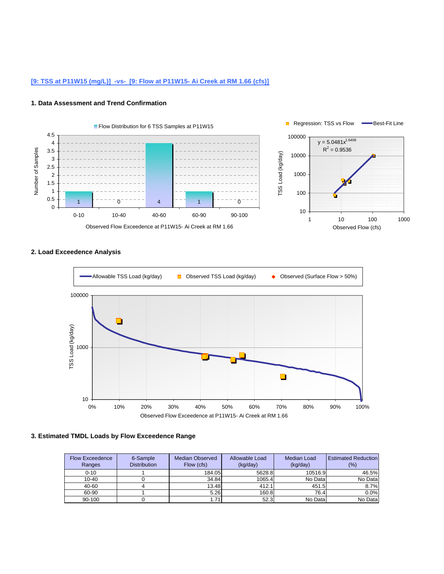# **[9: TSS at P11W15 (mg/L)] -vs- [9: Flow at P11W15- Ai Creek at RM 1.66 (cfs)]**

#### **1. Data Assessment and Trend Confirmation**



# **2. Load Exceedence Analysis**



| <b>Flow Exceedence</b><br>Ranges | 6-Sample<br><b>Distribution</b> | <b>Median Observed</b><br>Flow (cfs) | Allowable Load<br>(kq/day) | Median Load<br>(kg/day) | <b>Estimated Reduction</b><br>(%) |
|----------------------------------|---------------------------------|--------------------------------------|----------------------------|-------------------------|-----------------------------------|
| $0 - 10$                         |                                 | 184.05                               | 5628.8                     | 10516.9                 | 46.5%                             |
| $10 - 40$                        |                                 | 34.84                                | 1065.4                     | No Data                 | No Data                           |
| 40-60                            |                                 | 13.48                                | 412.1                      | 451.5                   | 8.7%                              |
| 60-90                            |                                 | 5.26                                 | 160.8                      | 76.4                    | 0.0%                              |
| 90-100                           |                                 | 1.71                                 | 52.3                       | No Data                 | No Data                           |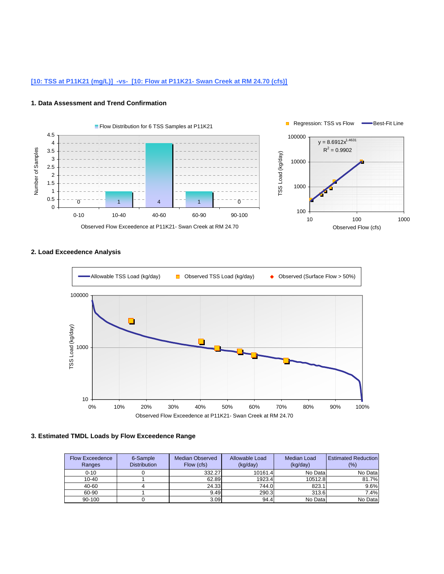# **[10: TSS at P11K21 (mg/L)] -vs- [10: Flow at P11K21- Swan Creek at RM 24.70 (cfs)]**

#### **1. Data Assessment and Trend Confirmation**



# **2. Load Exceedence Analysis**



| <b>Flow Exceedence</b><br>Ranges | 6-Sample<br><b>Distribution</b> | <b>Median Observed</b><br>Flow (cfs) | Allowable Load<br>(kq/day) | Median Load<br>(kq/day) | <b>Estimated Reduction</b><br>$(\% )$ |
|----------------------------------|---------------------------------|--------------------------------------|----------------------------|-------------------------|---------------------------------------|
| $0 - 10$                         |                                 | 332.27                               | 10161.4                    | No Data                 | No Data                               |
| $10 - 40$                        |                                 | 62.89                                | 1923.4                     | 10512.8                 | 81.7%                                 |
| 40-60                            |                                 | 24.33                                | 744.0                      | 823.1                   | 9.6%                                  |
| 60-90                            |                                 | 9.49                                 | 290.3                      | 313.6                   | 7.4%                                  |
| 90-100                           |                                 | 3.09                                 | 94.4                       | No Data                 | No Data                               |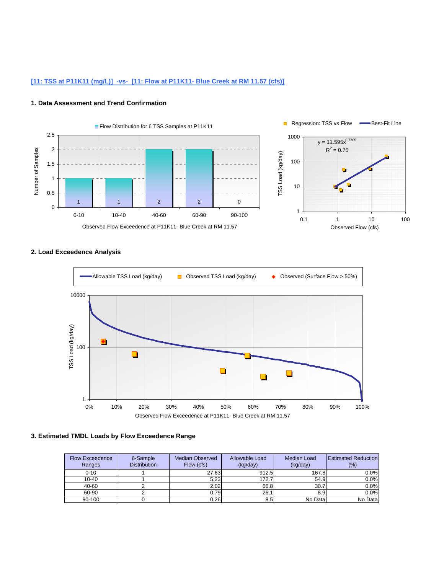# **[11: TSS at P11K11 (mg/L)] -vs- [11: Flow at P11K11- Blue Creek at RM 11.57 (cfs)]**

#### **1. Data Assessment and Trend Confirmation**



# **2. Load Exceedence Analysis**



| <b>Flow Exceedence</b><br>Ranges | 6-Sample<br><b>Distribution</b> | <b>Median Observed</b><br>Flow (cfs) | Allowable Load<br>(kg/day) | <b>Median Load</b><br>(kg/day) | <b>Estimated Reduction</b><br>(%) |
|----------------------------------|---------------------------------|--------------------------------------|----------------------------|--------------------------------|-----------------------------------|
| $0 - 10$                         |                                 | 27.63                                | 912.5                      | 167.8                          | $0.0\%$                           |
| $10 - 40$                        |                                 | 5.23                                 | 172.7                      | 54.9                           | 0.0%                              |
| 40-60                            |                                 | 2.02                                 | 66.8                       | 30.7                           | 0.0%                              |
| 60-90                            |                                 | 0.79                                 | 26.1                       | 8.9                            | 0.0%                              |
| 90-100                           |                                 | 0.26                                 | 8.5                        | No Data                        | No Data                           |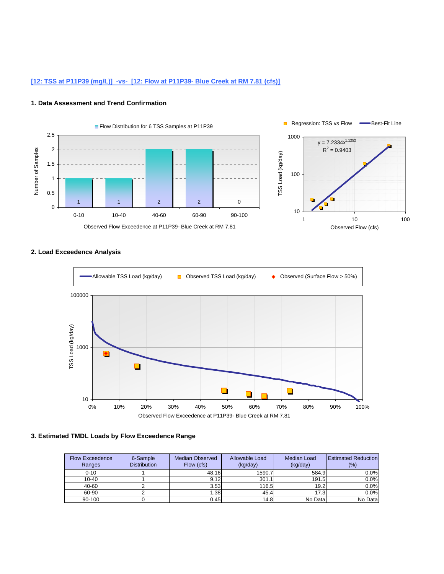# **[12: TSS at P11P39 (mg/L)] -vs- [12: Flow at P11P39- Blue Creek at RM 7.81 (cfs)]**

#### **1. Data Assessment and Trend Confirmation**



# **2. Load Exceedence Analysis**



| <b>Flow Exceedence</b><br>Ranges | 6-Sample<br><b>Distribution</b> | <b>Median Observed</b><br>Flow (cfs) | Allowable Load<br>(kq/day) | Median Load<br>(kg/day) | <b>Estimated Reduction</b><br>(%) |
|----------------------------------|---------------------------------|--------------------------------------|----------------------------|-------------------------|-----------------------------------|
| $0 - 10$                         |                                 | 48.16                                | 1590.7                     | 584.9                   | 0.0%                              |
| $10 - 40$                        |                                 | 9.12                                 | 301.1                      | 191.5                   | 0.0%                              |
| 40-60                            |                                 | 3.53                                 | 116.5                      | 19.2                    | 0.0%                              |
| 60-90                            |                                 | 1.38                                 | 45.4                       | 17.3                    | 0.0%                              |
| 90-100                           |                                 | 0.45                                 | 14.8                       | No Data                 | No Data                           |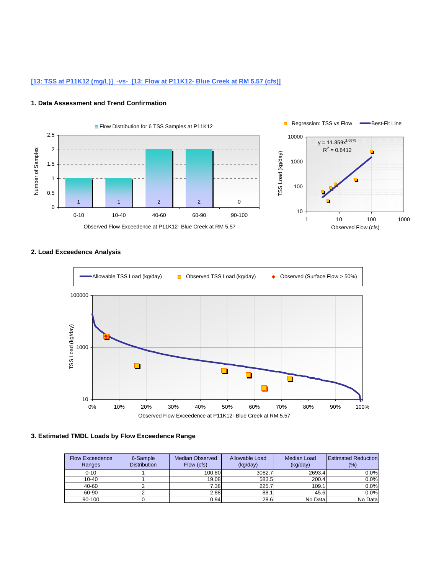# **[13: TSS at P11K12 (mg/L)] -vs- [13: Flow at P11K12- Blue Creek at RM 5.57 (cfs)]**

#### **1. Data Assessment and Trend Confirmation**



# **2. Load Exceedence Analysis**



| <b>Flow Exceedence</b><br>Ranges | 6-Sample<br><b>Distribution</b> | <b>Median Observed</b><br>Flow (cfs) | Allowable Load<br>(kq/day) | Median Load<br>(kg/day) | <b>Estimated Reduction</b><br>$(\% )$ |
|----------------------------------|---------------------------------|--------------------------------------|----------------------------|-------------------------|---------------------------------------|
| $0 - 10$                         |                                 | 100.80                               | 3082.7                     | 2693.4                  | 0.0%                                  |
| $10 - 40$                        |                                 | 19.08                                | 583.5                      | 200.4                   | 0.0%                                  |
| 40-60                            |                                 | 7.38                                 | 225.7                      | 109.1                   | 0.0%                                  |
| 60-90                            |                                 | 2.88                                 | 88.1                       | 45.6                    | 0.0%                                  |
| 90-100                           |                                 | 0.94                                 | 28.6                       | No Data                 | No Data                               |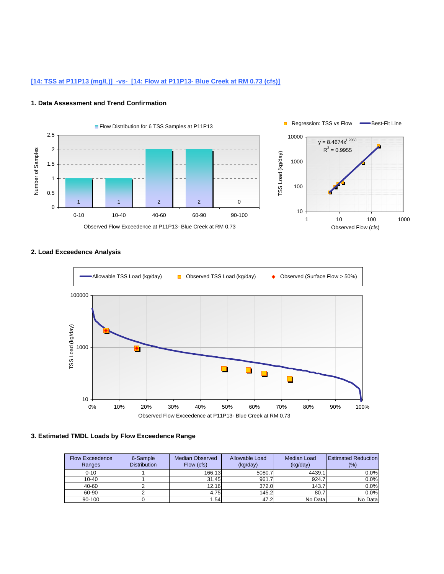# **[14: TSS at P11P13 (mg/L)] -vs- [14: Flow at P11P13- Blue Creek at RM 0.73 (cfs)]**

#### **1. Data Assessment and Trend Confirmation**



# **2. Load Exceedence Analysis**



| <b>Flow Exceedence</b><br>Ranges | 6-Sample<br><b>Distribution</b> | <b>Median Observed</b><br>Flow (cfs) | Allowable Load<br>(kq/day) | Median Load<br>(kg/day) | <b>Estimated Reduction</b><br>$(\% )$ |
|----------------------------------|---------------------------------|--------------------------------------|----------------------------|-------------------------|---------------------------------------|
| $0 - 10$                         |                                 | 166.13                               | 5080.7                     | 4439.1                  | 0.0%                                  |
| $10 - 40$                        |                                 | 31.45                                | 961.7                      | 924.7                   | 0.0%                                  |
| 40-60                            |                                 | 12.16                                | 372.0                      | 143.7                   | 0.0%                                  |
| 60-90                            |                                 | 4.75                                 | 145.2                      | 80.7                    | 0.0%                                  |
| 90-100                           |                                 | 1.54                                 | 47.2                       | No Data                 | No Data                               |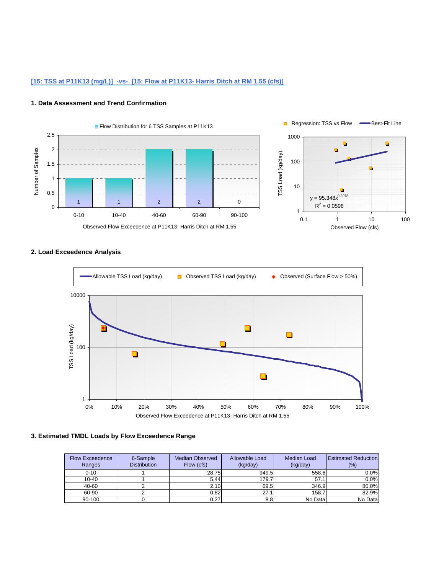# **[15: TSS at P11K13 (mg/L)] -vs- [15: Flow at P11K13- Harris Ditch at RM 1.55 (cfs)]**

#### **1. Data Assessment and Trend Confirmation**



# **2. Load Exceedence Analysis**



| <b>Flow Exceedence</b><br>Ranges | 6-Sample<br><b>Distribution</b> | <b>Median Observed</b><br>Flow (cfs) | Allowable Load<br>(kg/day) | <b>Median Load</b><br>(kg/day) | <b>Estimated Reduction</b><br>(%) |
|----------------------------------|---------------------------------|--------------------------------------|----------------------------|--------------------------------|-----------------------------------|
| $0 - 10$                         |                                 | 28.75                                | 949.5                      | 558.6                          | 0.0%                              |
| $10 - 40$                        |                                 | 5.44                                 | 179.7                      | 57.1                           | 0.0%                              |
| 40-60                            |                                 | 2.10                                 | 69.5                       | 346.9                          | 80.0%                             |
| 60-90                            |                                 | 0.82                                 | 27.1                       | 158.7                          | 82.9%                             |
| 90-100                           |                                 | 0.27                                 | 8.8                        | No Data                        | No Data                           |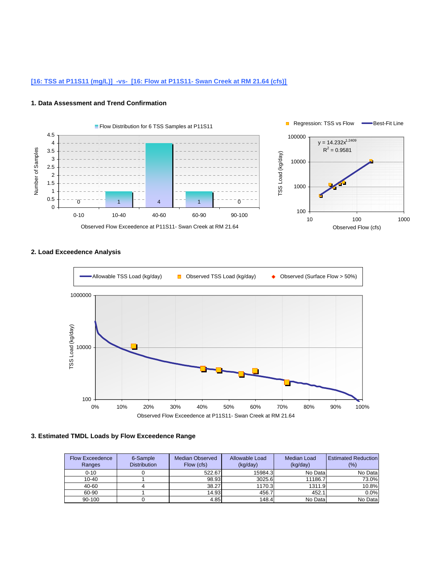# **[16: TSS at P11S11 (mg/L)] -vs- [16: Flow at P11S11- Swan Creek at RM 21.64 (cfs)]**

#### **1. Data Assessment and Trend Confirmation**





# **2. Load Exceedence Analysis**

| <b>Flow Exceedence</b><br>Ranges | 6-Sample<br><b>Distribution</b> | <b>Median Observed</b><br>Flow (cfs) | Allowable Load<br>(kq/day) | <b>Median Load</b><br>(kq/day) | <b>Estimated Reduction</b><br>(%) |
|----------------------------------|---------------------------------|--------------------------------------|----------------------------|--------------------------------|-----------------------------------|
| $0 - 10$                         |                                 | 522.67                               | 15984.3                    | No Data                        | No Data                           |
| $10 - 40$                        |                                 | 98.93                                | 3025.6                     | 11186.7                        | 73.0%                             |
| 40-60                            |                                 | 38.27                                | 1170.3                     | 1311.9                         | 10.8%                             |
| 60-90                            |                                 | 14.93                                | 456.7                      | 452.1                          | 0.0%                              |
| 90-100                           |                                 | 4.85                                 | 148.4                      | No Data                        | No Data                           |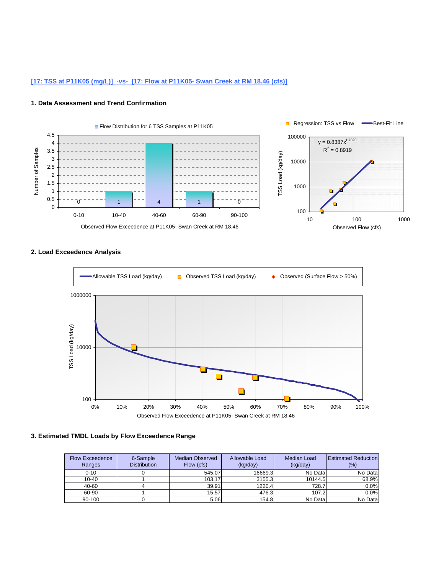# **[17: TSS at P11K05 (mg/L)] -vs- [17: Flow at P11K05- Swan Creek at RM 18.46 (cfs)]**

#### **1. Data Assessment and Trend Confirmation**



**2. Load Exceedence Analysis**



| <b>Flow Exceedence</b><br>Ranges | 6-Sample<br><b>Distribution</b> | Median Observed<br>Flow (cfs) | Allowable Load<br>(kq/day) | Median Load<br>(kq/day) | <b>Estimated Reduction</b><br>(%) |
|----------------------------------|---------------------------------|-------------------------------|----------------------------|-------------------------|-----------------------------------|
| $0 - 10$                         |                                 | 545.07                        | 16669.3                    | No Data                 | No Data                           |
| $10 - 40$                        |                                 | 103.17                        | 3155.3                     | 10144.5                 | 68.9%                             |
| 40-60                            |                                 | 39.91                         | 1220.4                     | 728.7                   | 0.0%                              |
| 60-90                            |                                 | 15.57                         | 476.3                      | 107.2                   | 0.0%                              |
| 90-100                           |                                 | 5.06                          | 154.8                      | No Data                 | No Data                           |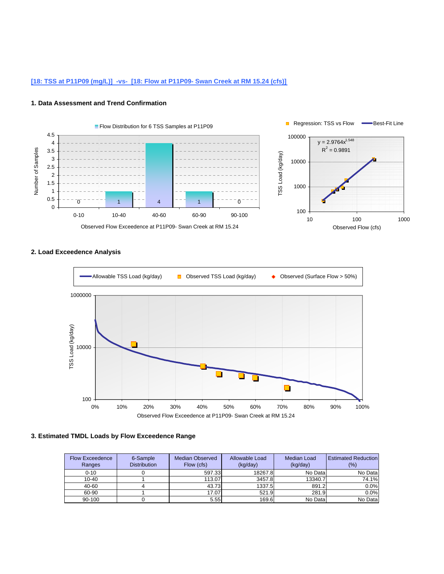# **[18: TSS at P11P09 (mg/L)] -vs- [18: Flow at P11P09- Swan Creek at RM 15.24 (cfs)]**

#### **1. Data Assessment and Trend Confirmation**



# **2. Load Exceedence Analysis**



| <b>Flow Exceedence</b><br>Ranges | 6-Sample<br><b>Distribution</b> | Median Observed<br>Flow (cfs) | Allowable Load<br>(kq/day) | Median Load<br>(kq/day) | <b>Estimated Reduction</b><br>(%) |
|----------------------------------|---------------------------------|-------------------------------|----------------------------|-------------------------|-----------------------------------|
| $0 - 10$                         |                                 | 597.33                        | 18267.8                    | No Data                 | No Data                           |
| $10 - 40$                        |                                 | 113.07                        | 3457.8                     | 13340.7                 | 74.1%                             |
| 40-60                            |                                 | 43.73                         | 1337.5                     | 891.2                   | 0.0%                              |
| 60-90                            |                                 | 17.07                         | 521.9                      | 281.9                   | 0.0%                              |
| 90-100                           |                                 | 5.55                          | 169.6                      | No Data                 | No Data                           |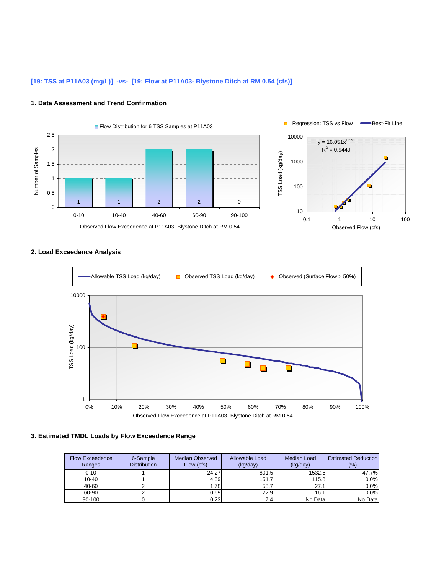# **[19: TSS at P11A03 (mg/L)] -vs- [19: Flow at P11A03- Blystone Ditch at RM 0.54 (cfs)]**

#### **1. Data Assessment and Trend Confirmation**



# **2. Load Exceedence Analysis**



| <b>Flow Exceedence</b><br>Ranges | 6-Sample<br><b>Distribution</b> | <b>Median Observed</b><br>Flow (cfs) | Allowable Load<br>(kg/day) | <b>Median Load</b><br>(kg/day) | <b>Estimated Reduction</b><br>$(\% )$ |
|----------------------------------|---------------------------------|--------------------------------------|----------------------------|--------------------------------|---------------------------------------|
| $0 - 10$                         |                                 | 24.27                                | 801.5                      | 1532.6                         | 47.7%                                 |
| $10 - 40$                        |                                 | 4.59                                 | 151.7                      | 115.8                          | 0.0%                                  |
| 40-60                            |                                 | 1.78                                 | 58.7                       | 27.1                           | 0.0%                                  |
| 60-90                            |                                 | 0.69                                 | 22.9                       | 16.1                           | 0.0%                                  |
| 90-100                           |                                 | 0.23                                 | 7.4                        | No Data                        | No Data                               |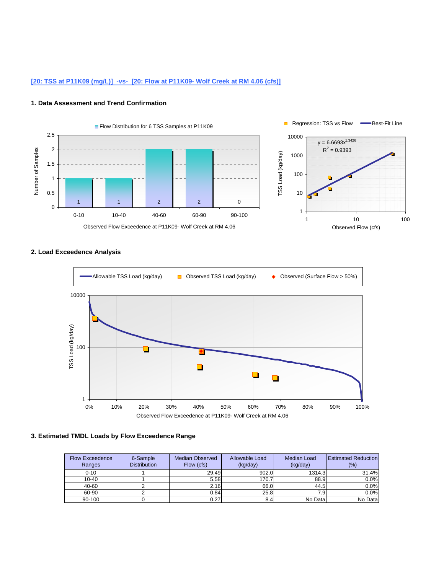# **[20: TSS at P11K09 (mg/L)] -vs- [20: Flow at P11K09- Wolf Creek at RM 4.06 (cfs)]**

#### **1. Data Assessment and Trend Confirmation**



# **2. Load Exceedence Analysis**



| <b>Flow Exceedence</b><br>Ranges | 6-Sample<br><b>Distribution</b> | <b>Median Observed</b><br>Flow (cfs) | Allowable Load<br>(kg/day) | <b>Median Load</b><br>(kg/day) | <b>Estimated Reduction</b><br>$(\% )$ |
|----------------------------------|---------------------------------|--------------------------------------|----------------------------|--------------------------------|---------------------------------------|
| $0 - 10$                         |                                 | 29.49                                | 902.0                      | 1314.3                         | 31.4%                                 |
| $10 - 40$                        |                                 | 5.58                                 | 170.7                      | 88.9                           | 0.0%                                  |
| 40-60                            |                                 | 2.16                                 | 66.0                       | 44.5                           | 0.0%                                  |
| 60-90                            |                                 | 0.84                                 | 25.8                       | 7.91                           | 0.0%                                  |
| 90-100                           |                                 | 0.27                                 | 8.4                        | No Data                        | No Data                               |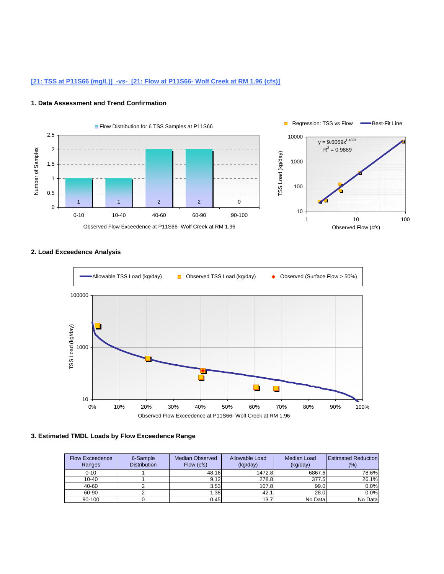# **[21: TSS at P11S66 (mg/L)] -vs- [21: Flow at P11S66- Wolf Creek at RM 1.96 (cfs)]**

#### **1. Data Assessment and Trend Confirmation**



# **2. Load Exceedence Analysis**



| <b>Flow Exceedence</b><br>Ranges | 6-Sample<br><b>Distribution</b> | <b>Median Observed</b><br>Flow (cfs) | Allowable Load<br>(kq/day) | Median Load<br>(kg/day) | <b>Estimated Reduction</b><br>$(\% )$ |
|----------------------------------|---------------------------------|--------------------------------------|----------------------------|-------------------------|---------------------------------------|
| $0 - 10$                         |                                 | 48.16                                | 1472.8                     | 6867.6                  | 78.6%                                 |
| $10 - 40$                        |                                 | 9.12                                 | 278.8                      | 377.5                   | 26.1%                                 |
| 40-60                            |                                 | 3.53                                 | 107.8                      | 99.0                    | 0.0%                                  |
| 60-90                            |                                 | 1.38                                 | 42.1                       | 28.0                    | 0.0%                                  |
| 90-100                           |                                 | 0.45                                 | 13.7                       | No Data                 | No Data                               |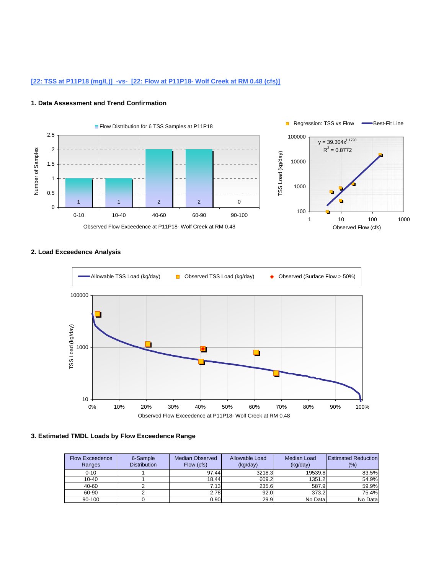# **[22: TSS at P11P18 (mg/L)] -vs- [22: Flow at P11P18- Wolf Creek at RM 0.48 (cfs)]**

#### **1. Data Assessment and Trend Confirmation**



# **2. Load Exceedence Analysis**



| <b>Flow Exceedence</b><br>Ranges | 6-Sample<br><b>Distribution</b> | <b>Median Observed</b><br>Flow (cfs) | Allowable Load<br>(kq/day) | Median Load<br>(kq/day) | <b>Estimated Reduction</b><br>$(\% )$ |
|----------------------------------|---------------------------------|--------------------------------------|----------------------------|-------------------------|---------------------------------------|
| $0 - 10$                         |                                 | 97.44                                | 3218.3                     | 19539.8                 | 83.5%                                 |
| $10 - 40$                        |                                 | 18.44                                | 609.2                      | 1351.2                  | 54.9%                                 |
| 40-60                            |                                 | 7.13                                 | 235.6                      | 587.9                   | 59.9%                                 |
| 60-90                            |                                 | 2.78                                 | 92.0                       | 373.2                   | 75.4%                                 |
| 90-100                           |                                 | 0.90                                 | 29.9                       | No Data                 | No Data                               |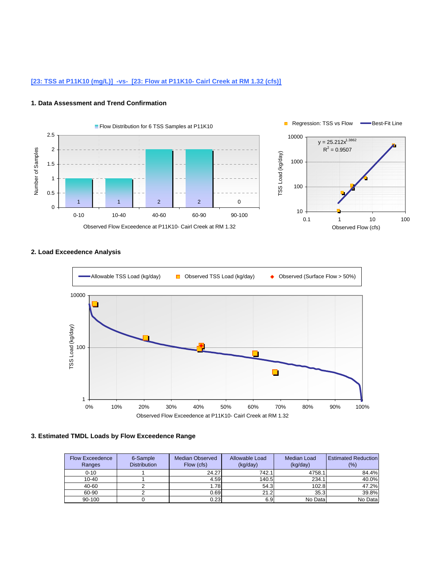# **[23: TSS at P11K10 (mg/L)] -vs- [23: Flow at P11K10- Cairl Creek at RM 1.32 (cfs)]**

#### **1. Data Assessment and Trend Confirmation**



# **2. Load Exceedence Analysis**



| <b>Flow Exceedence</b><br>Ranges | 6-Sample<br><b>Distribution</b> | <b>Median Observed</b><br>Flow (cfs) | Allowable Load<br>(kg/day) | Median Load<br>(kg/day) | <b>Estimated Reduction</b><br>$(\% )$ |
|----------------------------------|---------------------------------|--------------------------------------|----------------------------|-------------------------|---------------------------------------|
| $0 - 10$                         |                                 | 24.27                                | 742.1                      | 4758.1                  | 84.4%                                 |
| $10 - 40$                        |                                 | 4.59                                 | 140.5                      | 234.1                   | 40.0%                                 |
| 40-60                            |                                 | 1.78                                 | 54.3                       | 102.8                   | 47.2%                                 |
| 60-90                            |                                 | 0.69                                 | 21.2                       | 35.3                    | 39.8%                                 |
| 90-100                           |                                 | 0.23                                 | 6.9                        | No Data                 | No Data                               |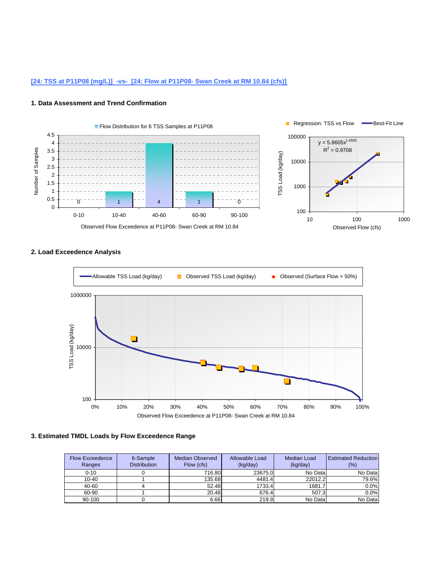# **[24: TSS at P11P08 (mg/L)] -vs- [24: Flow at P11P08- Swan Creek at RM 10.84 (cfs)]**

#### **1. Data Assessment and Trend Confirmation**



### **2. Load Exceedence Analysis**



| <b>Flow Exceedence</b><br>Ranges | 6-Sample<br><b>Distribution</b> | Median Observed<br>Flow (cfs) | Allowable Load<br>(kq/day) | Median Load<br>(kq/day) | <b>Estimated Reduction</b><br>(%) |
|----------------------------------|---------------------------------|-------------------------------|----------------------------|-------------------------|-----------------------------------|
| $0 - 10$                         |                                 | 716.80                        | 23675.0                    | No Data                 | No Data                           |
| $10 - 40$                        |                                 | 135.68                        | 4481.4                     | 22012.2                 | 79.6%                             |
| 40-60                            |                                 | 52.48                         | 1733.4                     | 1681.7                  | 0.0%                              |
| 60-90                            |                                 | 20.48                         | 676.4                      | 507.3                   | 0.0%                              |
| 90-100                           |                                 | 6.66                          | 219.9                      | No Data                 | No Data                           |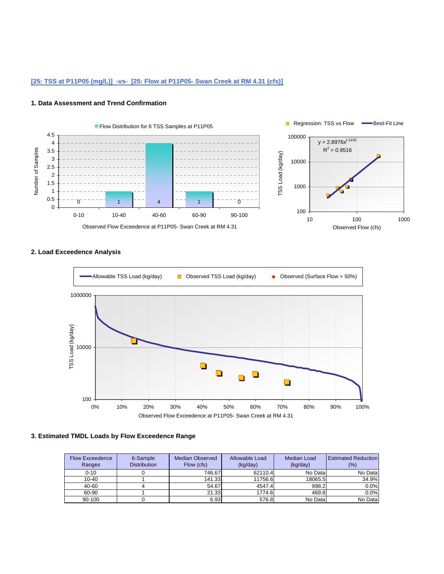# **[25: TSS at P11P05 (mg/L)] -vs- [25: Flow at P11P05- Swan Creek at RM 4.31 (cfs)]**

#### **1. Data Assessment and Trend Confirmation**



### **2. Load Exceedence Analysis**



| <b>Flow Exceedence</b><br>Ranges | 6-Sample<br><b>Distribution</b> | Median Observed<br>Flow (cfs) | Allowable Load<br>(kq/day) | Median Load<br>(kq/day) | <b>Estimated Reduction</b><br>(%) |
|----------------------------------|---------------------------------|-------------------------------|----------------------------|-------------------------|-----------------------------------|
| $0 - 10$                         |                                 | 746.67                        | 62110.4                    | No Data                 | No Data                           |
| $10 - 40$                        |                                 | 141.33                        | 11756.6                    | 18065.5                 | 34.9%                             |
| 40-60                            |                                 | 54.67                         | 4547.4                     | 998.2                   | 0.0%                              |
| 60-90                            |                                 | 21.33                         | 1774.6                     | 469.8                   | 0.0%                              |
| 90-100                           |                                 | 6.93                          | 576.8                      | No Data                 | No Data                           |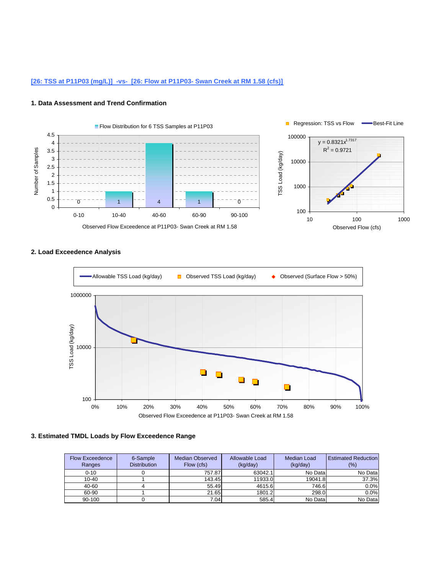# **[26: TSS at P11P03 (mg/L)] -vs- [26: Flow at P11P03- Swan Creek at RM 1.58 (cfs)]**

#### **1. Data Assessment and Trend Confirmation**



### **2. Load Exceedence Analysis**



| <b>Flow Exceedence</b><br>Ranges | 6-Sample<br><b>Distribution</b> | Median Observed<br>Flow (cfs) | Allowable Load<br>(kq/day) | Median Load<br>(kq/day) | <b>Estimated Reduction</b><br>(%) |
|----------------------------------|---------------------------------|-------------------------------|----------------------------|-------------------------|-----------------------------------|
| $0 - 10$                         |                                 | 757.87                        | 63042.1                    | No Data                 | No Data                           |
| $10 - 40$                        |                                 | 143.45                        | 11933.0                    | 19041.8                 | 37.3%                             |
| 40-60                            |                                 | 55.49                         | 4615.6                     | 746.6                   | 0.0%                              |
| 60-90                            |                                 | 21.65                         | 1801.2                     | 298.0                   | 0.0%                              |
| 90-100                           |                                 | 7.04                          | 585.4                      | No Data                 | No Data                           |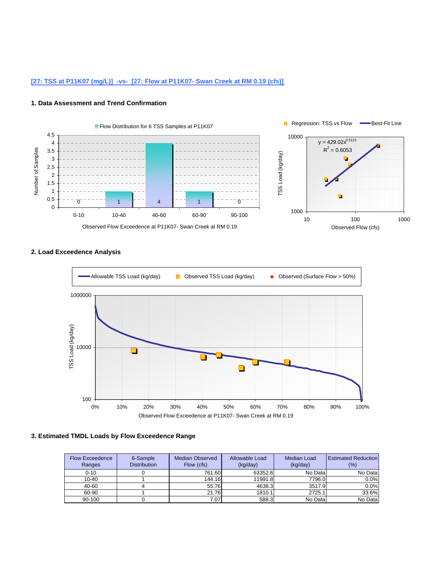# **[27: TSS at P11K07 (mg/L)] -vs- [27: Flow at P11K07- Swan Creek at RM 0.19 (cfs)]**

#### **1. Data Assessment and Trend Confirmation**



# **2. Load Exceedence Analysis**



| <b>Flow Exceedence</b><br>Ranges | 6-Sample<br><b>Distribution</b> | Median Observed<br>Flow (cfs) | Allowable Load<br>(kq/day) | Median Load<br>(kq/day) | <b>Estimated Reduction</b><br>(%) |
|----------------------------------|---------------------------------|-------------------------------|----------------------------|-------------------------|-----------------------------------|
| $0 - 10$                         |                                 | 761.60                        | 63352.6                    | No Data                 | No Data                           |
| $10 - 40$                        |                                 | 144.16                        | 11991.8                    | 7796.0                  | 0.0%                              |
| 40-60                            |                                 | 55.76                         | 4638.3                     | 3517.9                  | 0.0%                              |
| 60-90                            |                                 | 21.76                         | 1810.1                     | 2725.1                  | 33.6%                             |
| 90-100                           |                                 | 7.07                          | 588.3                      | No Data                 | No Data                           |